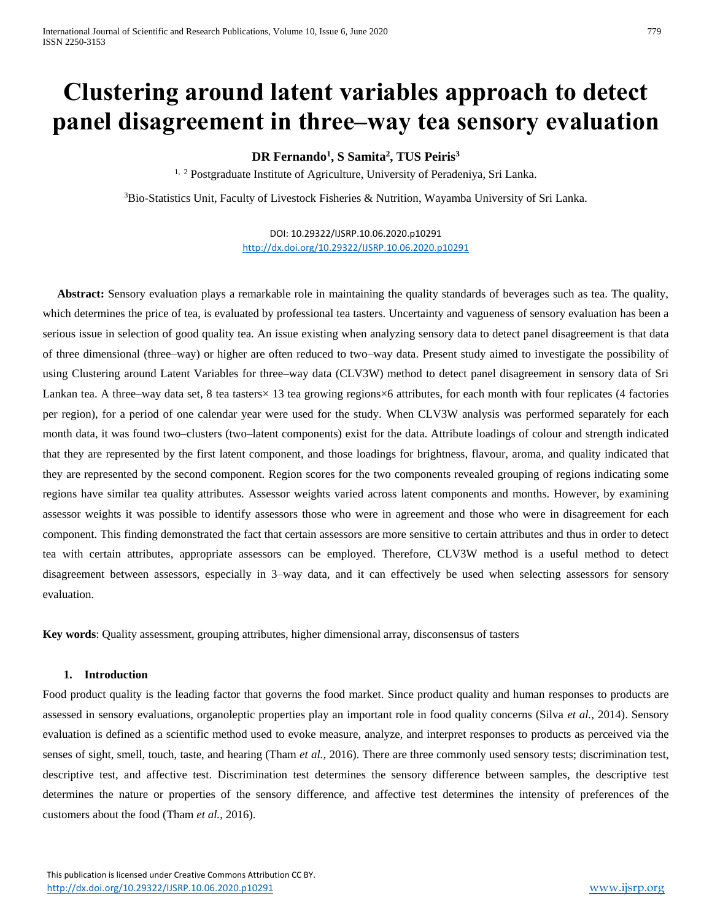# **Clustering around latent variables approach to detect panel disagreement in three–way tea sensory evaluation**

**DR Fernando<sup>1</sup> , S Samita<sup>2</sup> , TUS Peiris<sup>3</sup>**

<sup>1, 2</sup> Postgraduate Institute of Agriculture, University of Peradeniya, Sri Lanka.

<sup>3</sup>Bio-Statistics Unit, Faculty of Livestock Fisheries & Nutrition, Wayamba University of Sri Lanka.

DOI: 10.29322/IJSRP.10.06.2020.p10291 <http://dx.doi.org/10.29322/IJSRP.10.06.2020.p10291>

 **Abstract:** Sensory evaluation plays a remarkable role in maintaining the quality standards of beverages such as tea. The quality, which determines the price of tea, is evaluated by professional tea tasters. Uncertainty and vagueness of sensory evaluation has been a serious issue in selection of good quality tea. An issue existing when analyzing sensory data to detect panel disagreement is that data of three dimensional (three–way) or higher are often reduced to two–way data. Present study aimed to investigate the possibility of using Clustering around Latent Variables for three–way data (CLV3W) method to detect panel disagreement in sensory data of Sri Lankan tea. A three–way data set, 8 tea tasters× 13 tea growing regions×6 attributes, for each month with four replicates (4 factories per region), for a period of one calendar year were used for the study. When CLV3W analysis was performed separately for each month data, it was found two–clusters (two–latent components) exist for the data. Attribute loadings of colour and strength indicated that they are represented by the first latent component, and those loadings for brightness, flavour, aroma, and quality indicated that they are represented by the second component. Region scores for the two components revealed grouping of regions indicating some regions have similar tea quality attributes. Assessor weights varied across latent components and months. However, by examining assessor weights it was possible to identify assessors those who were in agreement and those who were in disagreement for each component. This finding demonstrated the fact that certain assessors are more sensitive to certain attributes and thus in order to detect tea with certain attributes, appropriate assessors can be employed. Therefore, CLV3W method is a useful method to detect disagreement between assessors, especially in 3–way data, and it can effectively be used when selecting assessors for sensory evaluation.

**Key words**: Quality assessment, grouping attributes, higher dimensional array, disconsensus of tasters

# **1. Introduction**

Food product quality is the leading factor that governs the food market. Since product quality and human responses to products are assessed in sensory evaluations, organoleptic properties play an important role in food quality concerns (Silva *et al.,* 2014). Sensory evaluation is defined as a scientific method used to evoke measure, analyze, and interpret responses to products as perceived via the senses of sight, smell, touch, taste, and hearing (Tham *et al.,* 2016). There are three commonly used sensory tests; discrimination test, descriptive test, and affective test. Discrimination test determines the sensory difference between samples, the descriptive test determines the nature or properties of the sensory difference, and affective test determines the intensity of preferences of the customers about the food (Tham *et al.,* 2016).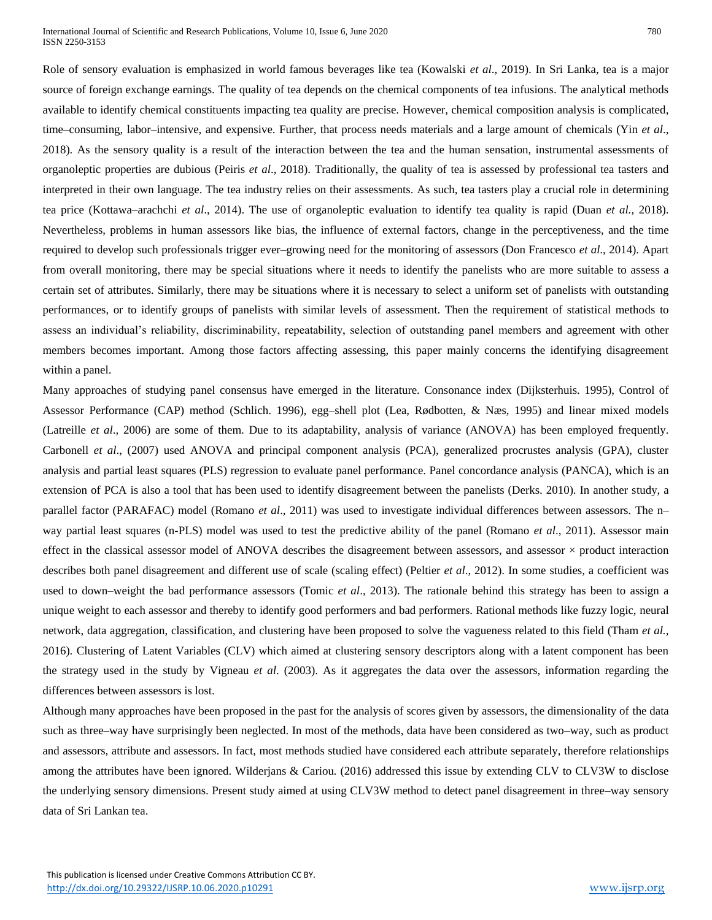Role of sensory evaluation is emphasized in world famous beverages like tea (Kowalski *et al*., 2019). In Sri Lanka, tea is a major source of foreign exchange earnings. The quality of tea depends on the chemical components of tea infusions. The analytical methods available to identify chemical constituents impacting tea quality are precise. However, chemical composition analysis is complicated, time–consuming, labor–intensive, and expensive. Further, that process needs materials and a large amount of chemicals (Yin *et al*., 2018). As the sensory quality is a result of the interaction between the tea and the human sensation, instrumental assessments of organoleptic properties are dubious (Peiris *et al*., 2018). Traditionally, the quality of tea is assessed by professional tea tasters and interpreted in their own language. The tea industry relies on their assessments. As such, tea tasters play a crucial role in determining tea price (Kottawa–arachchi *et al*., 2014). The use of organoleptic evaluation to identify tea quality is rapid (Duan *et al.,* 2018). Nevertheless, problems in human assessors like bias, the influence of external factors, change in the perceptiveness, and the time required to develop such professionals trigger ever–growing need for the monitoring of assessors (Don Francesco *et al*., 2014). Apart from overall monitoring, there may be special situations where it needs to identify the panelists who are more suitable to assess a certain set of attributes. Similarly, there may be situations where it is necessary to select a uniform set of panelists with outstanding performances, or to identify groups of panelists with similar levels of assessment. Then the requirement of statistical methods to assess an individual's reliability, discriminability, repeatability, selection of outstanding panel members and agreement with other members becomes important. Among those factors affecting assessing, this paper mainly concerns the identifying disagreement within a panel.

Many approaches of studying panel consensus have emerged in the literature. Consonance index (Dijksterhuis. 1995), Control of Assessor Performance (CAP) method (Schlich. 1996), egg–shell plot (Lea, Rødbotten, & Næs, 1995) and linear mixed models (Latreille *et al*., 2006) are some of them. Due to its adaptability, analysis of variance (ANOVA) has been employed frequently. Carbonell *et al*., (2007) used ANOVA and principal component analysis (PCA), generalized procrustes analysis (GPA), cluster analysis and partial least squares (PLS) regression to evaluate panel performance. Panel concordance analysis (PANCA), which is an extension of PCA is also a tool that has been used to identify disagreement between the panelists (Derks. 2010). In another study, a parallel factor (PARAFAC) model (Romano *et al*., 2011) was used to investigate individual differences between assessors. The n– way partial least squares (n-PLS) model was used to test the predictive ability of the panel (Romano *et al*., 2011). Assessor main effect in the classical assessor model of ANOVA describes the disagreement between assessors, and assessor  $\times$  product interaction describes both panel disagreement and different use of scale (scaling effect) (Peltier *et al*., 2012). In some studies, a coefficient was used to down–weight the bad performance assessors (Tomic *et al*., 2013). The rationale behind this strategy has been to assign a unique weight to each assessor and thereby to identify good performers and bad performers. Rational methods like fuzzy logic, neural network, data aggregation, classification, and clustering have been proposed to solve the vagueness related to this field (Tham *et al.,* 2016). Clustering of Latent Variables (CLV) which aimed at clustering sensory descriptors along with a latent component has been the strategy used in the study by Vigneau *et al*. (2003). As it aggregates the data over the assessors, information regarding the differences between assessors is lost.

Although many approaches have been proposed in the past for the analysis of scores given by assessors, the dimensionality of the data such as three–way have surprisingly been neglected. In most of the methods, data have been considered as two–way, such as product and assessors, attribute and assessors. In fact, most methods studied have considered each attribute separately, therefore relationships among the attributes have been ignored. Wilderjans & Cariou*.* (2016) addressed this issue by extending CLV to CLV3W to disclose the underlying sensory dimensions. Present study aimed at using CLV3W method to detect panel disagreement in three–way sensory data of Sri Lankan tea.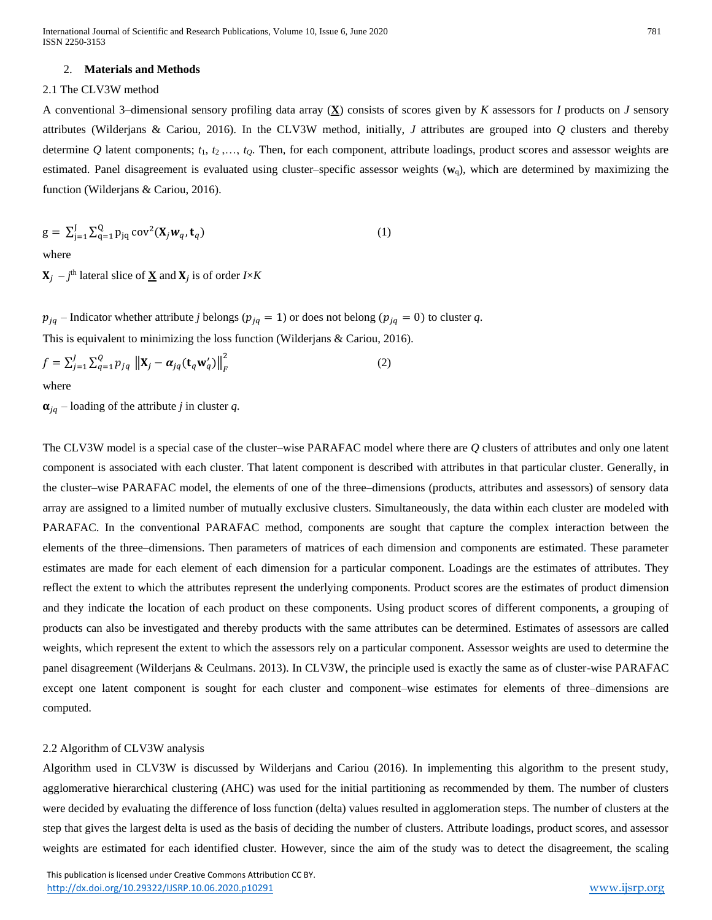#### 2. **Materials and Methods**

# 2.1 The CLV3W method

A conventional 3–dimensional sensory profiling data array (**X**) consists of scores given by *K* assessors for *I* products on *J* sensory attributes (Wilderjans & Cariou, 2016). In the CLV3W method, initially, *J* attributes are grouped into *Q* clusters and thereby determine *Q* latent components; *t*1, *t*2 ,…, *tQ*. Then, for each component, attribute loadings, product scores and assessor weights are estimated. Panel disagreement is evaluated using cluster–specific assessor weights (**w**q), which are determined by maximizing the function (Wilderjans & Cariou, 2016).

$$
\mathbf{g} = \sum_{j=1}^{J} \sum_{q=1}^{Q} \mathbf{p}_{jq} \operatorname{cov}^2(\mathbf{X}_j \mathbf{w}_q, \mathbf{t}_q)
$$
 (1)

where

 $X_j$  –  $j$ <sup>th</sup> lateral slice of  $\underline{X}$  and  $X_j$  is of order *I*×*K* 

 $p_{jq}$  – Indicator whether attribute *j* belongs ( $p_{jq} = 1$ ) or does not belong ( $p_{jq} = 0$ ) to cluster *q*. This is equivalent to minimizing the loss function (Wilderjans & Cariou, 2016).

$$
f = \sum_{j=1}^{J} \sum_{q=1}^{Q} p_{jq} \left\| \mathbf{X}_j - \alpha_{jq} (\mathbf{t}_q \mathbf{w}'_q) \right\|_F^2
$$
 (2)  
where

 $\alpha_{iq}$  – loading of the attribute *j* in cluster *q*.

The CLV3W model is a special case of the cluster–wise PARAFAC model where there are *Q* clusters of attributes and only one latent component is associated with each cluster. That latent component is described with attributes in that particular cluster. Generally, in the cluster–wise PARAFAC model, the elements of one of the three–dimensions (products, attributes and assessors) of sensory data array are assigned to a limited number of mutually exclusive clusters. Simultaneously, the data within each cluster are modeled with PARAFAC. In the conventional PARAFAC method, components are sought that capture the complex interaction between the elements of the three–dimensions. Then parameters of matrices of each dimension and components are estimated. These parameter estimates are made for each element of each dimension for a particular component. Loadings are the estimates of attributes. They reflect the extent to which the attributes represent the underlying components. Product scores are the estimates of product dimension and they indicate the location of each product on these components. Using product scores of different components, a grouping of products can also be investigated and thereby products with the same attributes can be determined. Estimates of assessors are called weights, which represent the extent to which the assessors rely on a particular component. Assessor weights are used to determine the panel disagreement (Wilderjans & Ceulmans. 2013). In CLV3W, the principle used is exactly the same as of cluster-wise PARAFAC except one latent component is sought for each cluster and component–wise estimates for elements of three–dimensions are computed.

# 2.2 Algorithm of CLV3W analysis

Algorithm used in CLV3W is discussed by Wilderjans and Cariou (2016). In implementing this algorithm to the present study, agglomerative hierarchical clustering (AHC) was used for the initial partitioning as recommended by them. The number of clusters were decided by evaluating the difference of loss function (delta) values resulted in agglomeration steps. The number of clusters at the step that gives the largest delta is used as the basis of deciding the number of clusters. Attribute loadings, product scores, and assessor weights are estimated for each identified cluster. However, since the aim of the study was to detect the disagreement, the scaling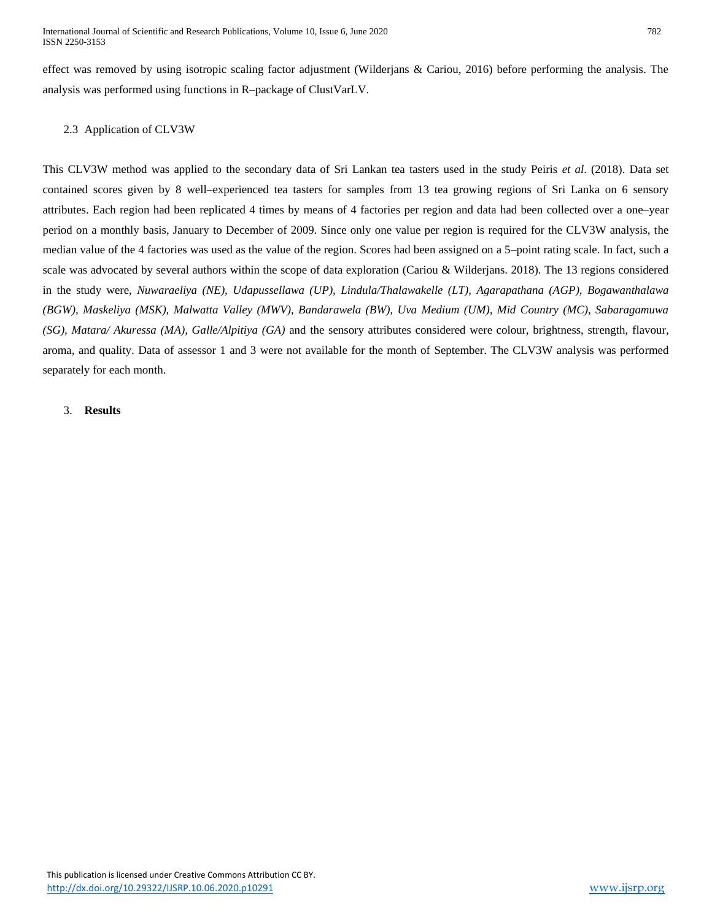effect was removed by using isotropic scaling factor adjustment (Wilderjans & Cariou, 2016) before performing the analysis. The analysis was performed using functions in R–package of ClustVarLV.

# 2.3 Application of CLV3W

This CLV3W method was applied to the secondary data of Sri Lankan tea tasters used in the study Peiris *et al*. (2018). Data set contained scores given by 8 well–experienced tea tasters for samples from 13 tea growing regions of Sri Lanka on 6 sensory attributes. Each region had been replicated 4 times by means of 4 factories per region and data had been collected over a one–year period on a monthly basis, January to December of 2009. Since only one value per region is required for the CLV3W analysis, the median value of the 4 factories was used as the value of the region. Scores had been assigned on a 5–point rating scale. In fact, such a scale was advocated by several authors within the scope of data exploration (Cariou & Wilderjans. 2018). The 13 regions considered in the study were, *Nuwaraeliya (NE), Udapussellawa (UP), Lindula/Thalawakelle (LT), Agarapathana (AGP), Bogawanthalawa (BGW), Maskeliya (MSK), Malwatta Valley (MWV), Bandarawela (BW), Uva Medium (UM), Mid Country (MC), Sabaragamuwa (SG), Matara/ Akuressa (MA), Galle/Alpitiya (GA)* and the sensory attributes considered were colour, brightness, strength, flavour, aroma, and quality. Data of assessor 1 and 3 were not available for the month of September. The CLV3W analysis was performed separately for each month.

## 3. **Results**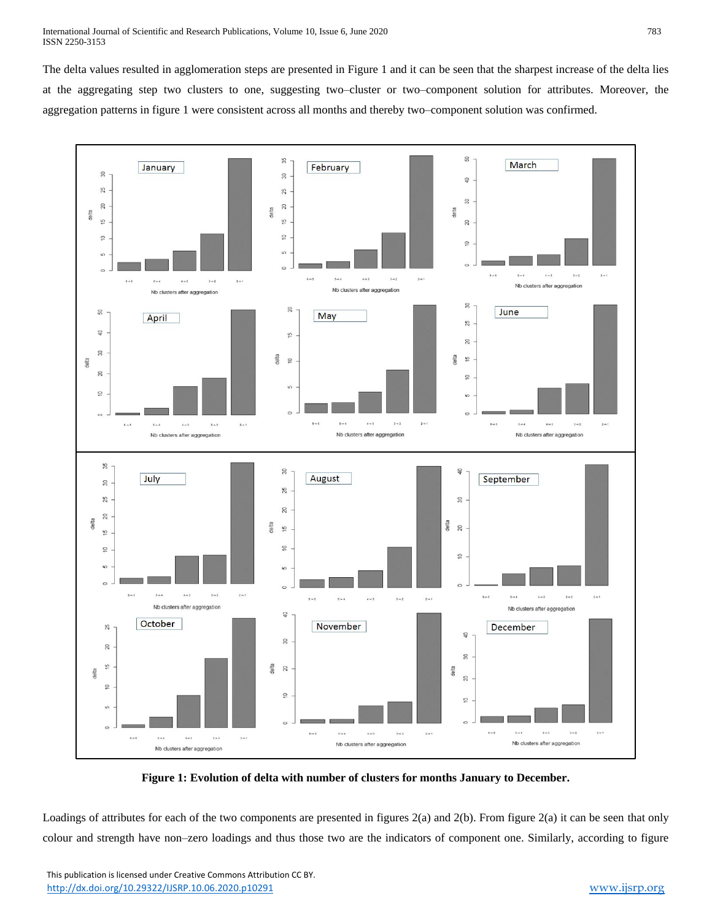The delta values resulted in agglomeration steps are presented in Figure 1 and it can be seen that the sharpest increase of the delta lies at the aggregating step two clusters to one, suggesting two–cluster or two–component solution for attributes. Moreover, the aggregation patterns in figure 1 were consistent across all months and thereby two–component solution was confirmed.



**Figure 1: Evolution of delta with number of clusters for months January to December.**

Loadings of attributes for each of the two components are presented in figures 2(a) and 2(b). From figure 2(a) it can be seen that only colour and strength have non–zero loadings and thus those two are the indicators of component one. Similarly, according to figure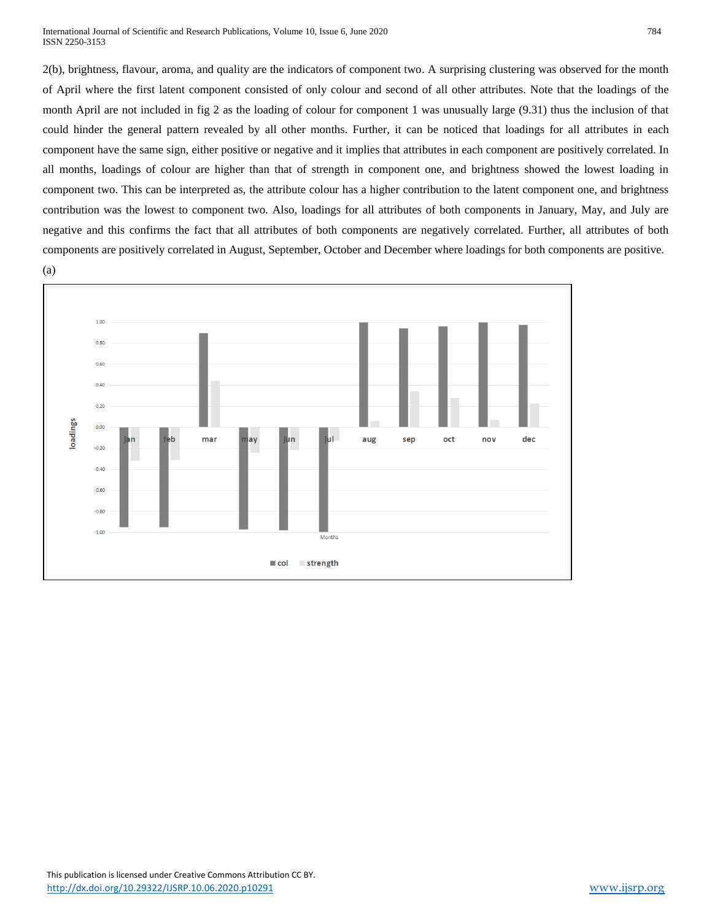International Journal of Scientific and Research Publications, Volume 10, Issue 6, June 2020 784 ISSN 2250-3153

2(b), brightness, flavour, aroma, and quality are the indicators of component two. A surprising clustering was observed for the month of April where the first latent component consisted of only colour and second of all other attributes. Note that the loadings of the month April are not included in fig 2 as the loading of colour for component 1 was unusually large (9.31) thus the inclusion of that could hinder the general pattern revealed by all other months. Further, it can be noticed that loadings for all attributes in each component have the same sign, either positive or negative and it implies that attributes in each component are positively correlated. In all months, loadings of colour are higher than that of strength in component one, and brightness showed the lowest loading in component two. This can be interpreted as, the attribute colour has a higher contribution to the latent component one, and brightness contribution was the lowest to component two. Also, loadings for all attributes of both components in January, May, and July are negative and this confirms the fact that all attributes of both components are negatively correlated. Further, all attributes of both components are positively correlated in August, September, October and December where loadings for both components are positive. (a)

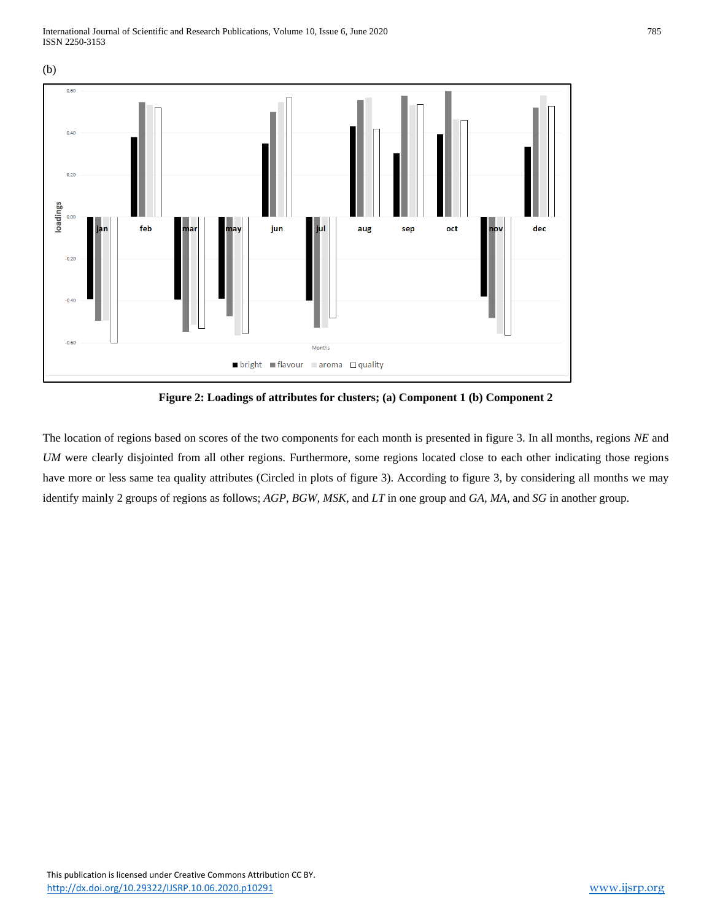

**Figure 2: Loadings of attributes for clusters; (a) Component 1 (b) Component 2**

The location of regions based on scores of the two components for each month is presented in figure 3. In all months, regions *NE* and *UM* were clearly disjointed from all other regions. Furthermore, some regions located close to each other indicating those regions have more or less same tea quality attributes (Circled in plots of figure 3). According to figure 3, by considering all months we may identify mainly 2 groups of regions as follows; *AGP, BGW, MSK,* and *LT* in one group and *GA, MA,* and *SG* in another group.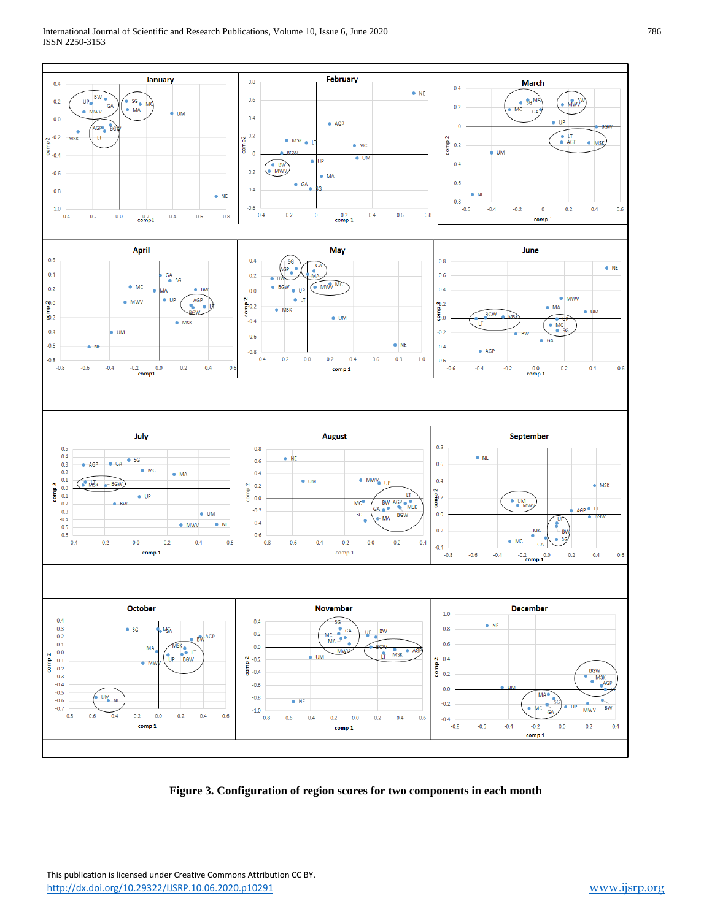#### International Journal of Scientific and Research Publications, Volume 10, Issue 6, June 2020 786 ISSN 2250-3153



**Figure 3. Configuration of region scores for two components in each month**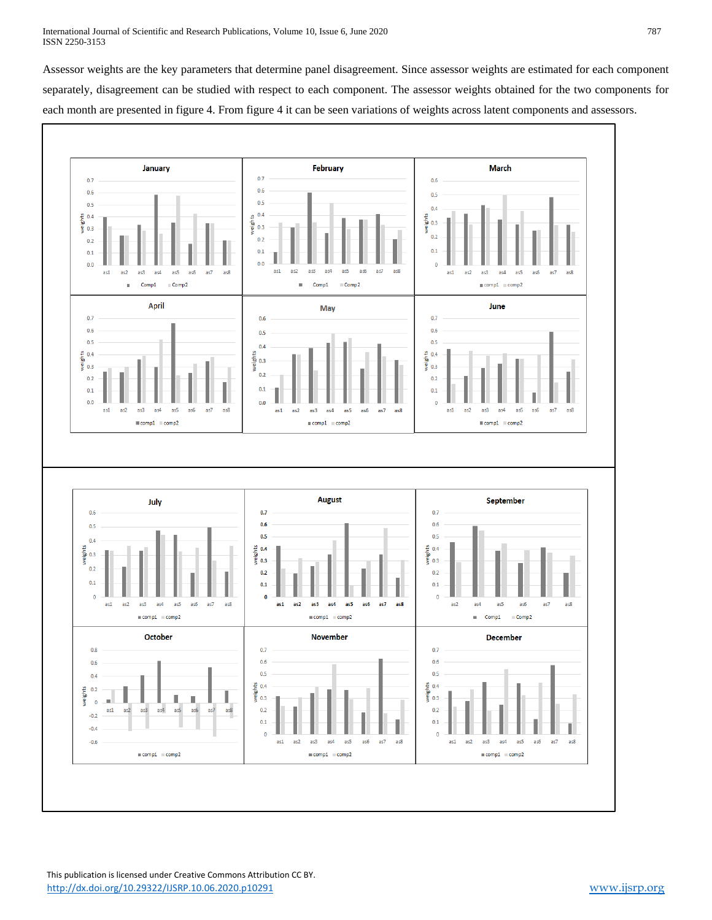Assessor weights are the key parameters that determine panel disagreement. Since assessor weights are estimated for each component separately, disagreement can be studied with respect to each component. The assessor weights obtained for the two components for each month are presented in figure 4. From figure 4 it can be seen variations of weights across latent components and assessors.

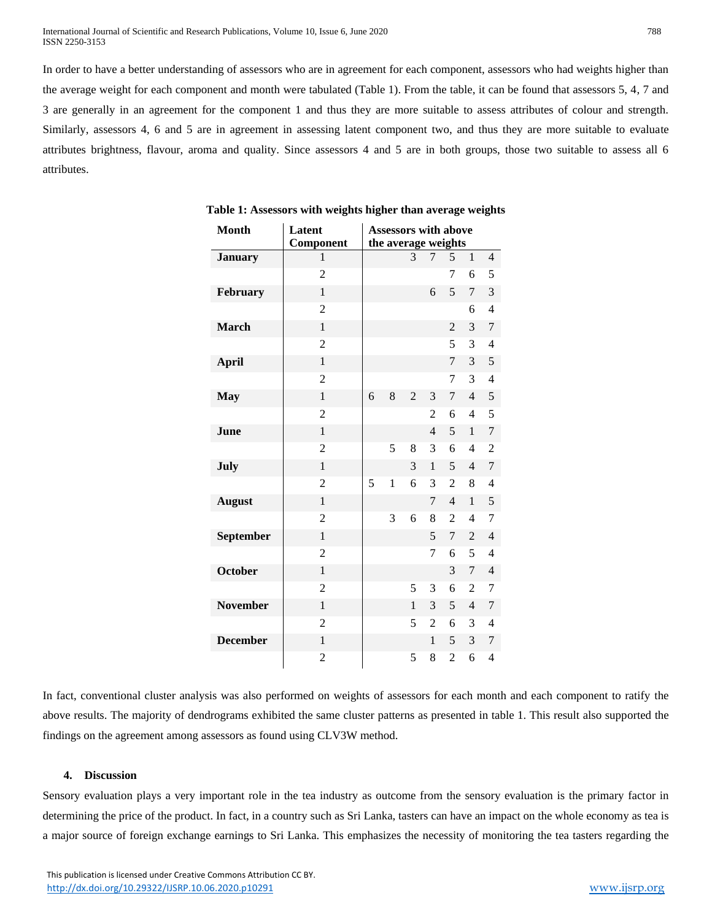International Journal of Scientific and Research Publications, Volume 10, Issue 6, June 2020 788 ISSN 2250-3153

In order to have a better understanding of assessors who are in agreement for each component, assessors who had weights higher than the average weight for each component and month were tabulated (Table 1). From the table, it can be found that assessors 5, 4, 7 and 3 are generally in an agreement for the component 1 and thus they are more suitable to assess attributes of colour and strength. Similarly, assessors 4, 6 and 5 are in agreement in assessing latent component two, and thus they are more suitable to evaluate attributes brightness, flavour, aroma and quality. Since assessors 4 and 5 are in both groups, those two suitable to assess all 6 attributes.

| <b>Month</b>    | Latent         | <b>Assessors with above</b> |              |                |                |                |                |                |
|-----------------|----------------|-----------------------------|--------------|----------------|----------------|----------------|----------------|----------------|
|                 | Component      | the average weights         |              |                |                |                |                |                |
| <b>January</b>  | $\mathbf{1}$   |                             |              | 3              | 7              | 5              | $\mathbf{1}$   | $\overline{4}$ |
|                 | $\overline{2}$ |                             |              |                |                | 7              | 6              | 5              |
| February        | $\mathbf{1}$   |                             |              |                | 6              | 5              | 7              | 3              |
|                 | $\overline{c}$ |                             |              |                |                |                | 6              | $\overline{4}$ |
| <b>March</b>    | 1              |                             |              |                |                | 2              | 3              | 7              |
|                 | $\overline{2}$ |                             |              |                |                | 5              | 3              | 4              |
| <b>April</b>    | $\mathbf{1}$   |                             |              |                |                | 7              | 3              | 5              |
|                 | $\overline{c}$ |                             |              |                |                | 7              | 3              | $\overline{4}$ |
| <b>May</b>      | 1              | 6                           | 8            | $\overline{2}$ | 3              | 7              | $\overline{4}$ | 5              |
|                 | $\overline{c}$ |                             |              |                | 2              | 6              | $\overline{4}$ | 5              |
| June            | $\mathbf{1}$   |                             |              |                | 4              | 5              | $\mathbf{1}$   | 7              |
|                 | $\overline{2}$ |                             | 5            | 8              | 3              | 6              | $\overline{4}$ | $\overline{2}$ |
| July            | $\mathbf{1}$   |                             |              | 3              | $\mathbf{1}$   | 5              | $\overline{4}$ | 7              |
|                 | $\overline{2}$ | 5                           | $\mathbf{1}$ | 6              | 3              | $\overline{2}$ | 8              | $\overline{4}$ |
| <b>August</b>   | $\mathbf{1}$   |                             |              |                | 7              | $\overline{4}$ | $\mathbf{1}$   | 5              |
|                 | $\overline{c}$ |                             | 3            | 6              | 8              | $\overline{2}$ | 4              | 7              |
| September       | $\mathbf{1}$   |                             |              |                | 5              | 7              | $\overline{2}$ | $\overline{4}$ |
|                 | $\overline{c}$ |                             |              |                | 7              | 6              | 5              | 4              |
| October         | $\mathbf{1}$   |                             |              |                |                | 3              | 7              | $\overline{4}$ |
|                 | $\overline{2}$ |                             |              | 5              | 3              | 6              | 2              | 7              |
| <b>November</b> | $\mathbf{1}$   |                             |              | 1              | 3              | 5              | $\overline{4}$ | 7              |
|                 | $\overline{c}$ |                             |              | 5              | $\overline{2}$ | 6              | 3              | $\overline{4}$ |
| <b>December</b> | $\mathbf{1}$   |                             |              |                | $\mathbf{1}$   | 5              | 3              | 7              |
|                 | 2              |                             |              | 5              | 8              | 2              | 6              | $\overline{4}$ |

**Table 1: Assessors with weights higher than average weights**

In fact, conventional cluster analysis was also performed on weights of assessors for each month and each component to ratify the above results. The majority of dendrograms exhibited the same cluster patterns as presented in table 1. This result also supported the findings on the agreement among assessors as found using CLV3W method.

#### **4. Discussion**

Sensory evaluation plays a very important role in the tea industry as outcome from the sensory evaluation is the primary factor in determining the price of the product. In fact, in a country such as Sri Lanka, tasters can have an impact on the whole economy as tea is a major source of foreign exchange earnings to Sri Lanka. This emphasizes the necessity of monitoring the tea tasters regarding the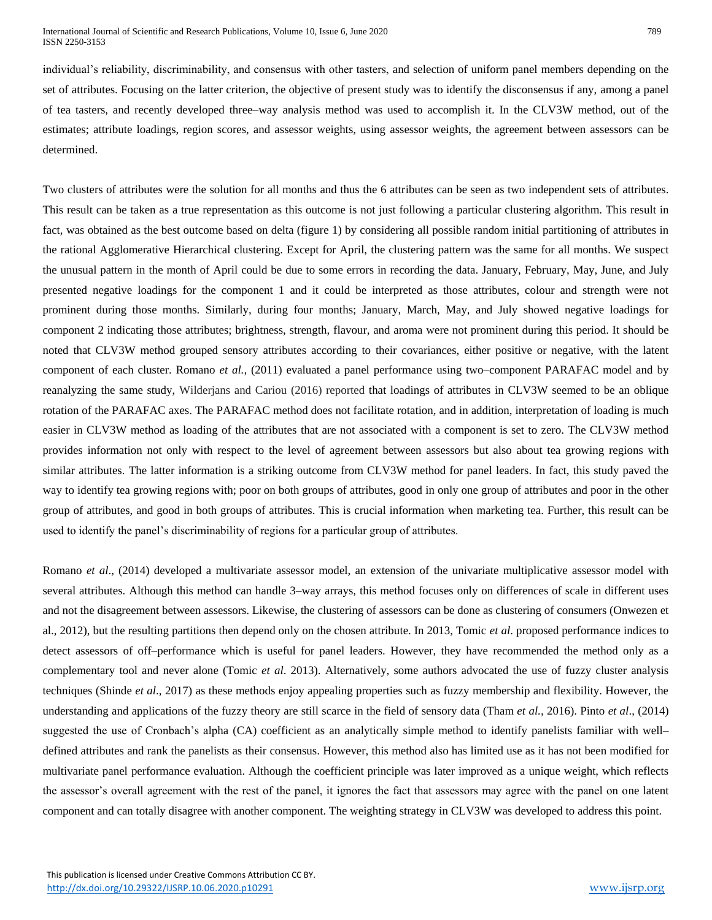individual's reliability, discriminability, and consensus with other tasters, and selection of uniform panel members depending on the set of attributes. Focusing on the latter criterion, the objective of present study was to identify the disconsensus if any, among a panel of tea tasters, and recently developed three–way analysis method was used to accomplish it. In the CLV3W method, out of the estimates; attribute loadings, region scores, and assessor weights, using assessor weights, the agreement between assessors can be determined.

Two clusters of attributes were the solution for all months and thus the 6 attributes can be seen as two independent sets of attributes. This result can be taken as a true representation as this outcome is not just following a particular clustering algorithm. This result in fact, was obtained as the best outcome based on delta (figure 1) by considering all possible random initial partitioning of attributes in the rational Agglomerative Hierarchical clustering. Except for April, the clustering pattern was the same for all months. We suspect the unusual pattern in the month of April could be due to some errors in recording the data. January, February, May, June, and July presented negative loadings for the component 1 and it could be interpreted as those attributes, colour and strength were not prominent during those months. Similarly, during four months; January, March, May, and July showed negative loadings for component 2 indicating those attributes; brightness, strength, flavour, and aroma were not prominent during this period. It should be noted that CLV3W method grouped sensory attributes according to their covariances, either positive or negative, with the latent component of each cluster. Romano *et al.,* (2011) evaluated a panel performance using two–component PARAFAC model and by reanalyzing the same study, Wilderjans and Cariou (2016) reported that loadings of attributes in CLV3W seemed to be an oblique rotation of the PARAFAC axes. The PARAFAC method does not facilitate rotation, and in addition, interpretation of loading is much easier in CLV3W method as loading of the attributes that are not associated with a component is set to zero. The CLV3W method provides information not only with respect to the level of agreement between assessors but also about tea growing regions with similar attributes. The latter information is a striking outcome from CLV3W method for panel leaders. In fact, this study paved the way to identify tea growing regions with; poor on both groups of attributes, good in only one group of attributes and poor in the other group of attributes, and good in both groups of attributes. This is crucial information when marketing tea. Further, this result can be used to identify the panel's discriminability of regions for a particular group of attributes.

Romano *et al*., (2014) developed a multivariate assessor model, an extension of the univariate multiplicative assessor model with several attributes. Although this method can handle 3–way arrays, this method focuses only on differences of scale in different uses and not the disagreement between assessors. Likewise, the clustering of assessors can be done as clustering of consumers (Onwezen et al., 2012), but the resulting partitions then depend only on the chosen attribute. In 2013, Tomic *et al*. proposed performance indices to detect assessors of off–performance which is useful for panel leaders. However, they have recommended the method only as a complementary tool and never alone (Tomic *et al*. 2013). Alternatively, some authors advocated the use of fuzzy cluster analysis techniques (Shinde *et al*., 2017) as these methods enjoy appealing properties such as fuzzy membership and flexibility. However, the understanding and applications of the fuzzy theory are still scarce in the field of sensory data (Tham *et al.,* 2016). Pinto *et al*., (2014) suggested the use of Cronbach's alpha (CA) coefficient as an analytically simple method to identify panelists familiar with welldefined attributes and rank the panelists as their consensus. However, this method also has limited use as it has not been modified for multivariate panel performance evaluation. Although the coefficient principle was later improved as a unique weight, which reflects the assessor's overall agreement with the rest of the panel, it ignores the fact that assessors may agree with the panel on one latent component and can totally disagree with another component. The weighting strategy in CLV3W was developed to address this point.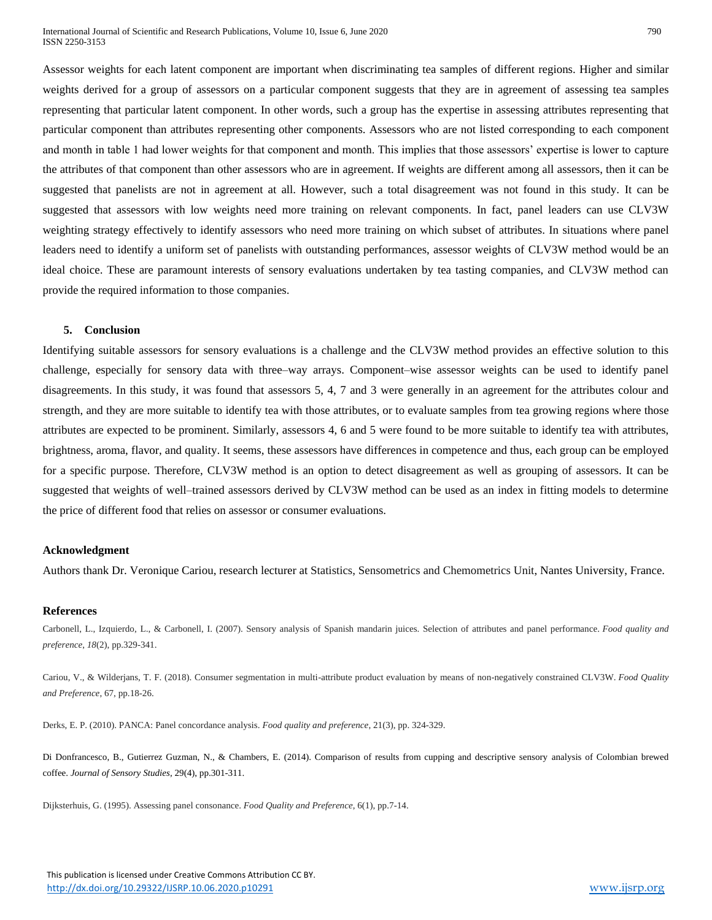Assessor weights for each latent component are important when discriminating tea samples of different regions. Higher and similar weights derived for a group of assessors on a particular component suggests that they are in agreement of assessing tea samples representing that particular latent component. In other words, such a group has the expertise in assessing attributes representing that particular component than attributes representing other components. Assessors who are not listed corresponding to each component and month in table 1 had lower weights for that component and month. This implies that those assessors' expertise is lower to capture the attributes of that component than other assessors who are in agreement. If weights are different among all assessors, then it can be suggested that panelists are not in agreement at all. However, such a total disagreement was not found in this study. It can be suggested that assessors with low weights need more training on relevant components. In fact, panel leaders can use CLV3W weighting strategy effectively to identify assessors who need more training on which subset of attributes. In situations where panel leaders need to identify a uniform set of panelists with outstanding performances, assessor weights of CLV3W method would be an ideal choice. These are paramount interests of sensory evaluations undertaken by tea tasting companies, and CLV3W method can provide the required information to those companies.

#### **5. Conclusion**

Identifying suitable assessors for sensory evaluations is a challenge and the CLV3W method provides an effective solution to this challenge, especially for sensory data with three–way arrays. Component–wise assessor weights can be used to identify panel disagreements. In this study, it was found that assessors 5, 4, 7 and 3 were generally in an agreement for the attributes colour and strength, and they are more suitable to identify tea with those attributes, or to evaluate samples from tea growing regions where those attributes are expected to be prominent. Similarly, assessors 4, 6 and 5 were found to be more suitable to identify tea with attributes, brightness, aroma, flavor, and quality. It seems, these assessors have differences in competence and thus, each group can be employed for a specific purpose. Therefore, CLV3W method is an option to detect disagreement as well as grouping of assessors. It can be suggested that weights of well–trained assessors derived by CLV3W method can be used as an index in fitting models to determine the price of different food that relies on assessor or consumer evaluations.

## **Acknowledgment**

Authors thank Dr. Veronique Cariou, research lecturer at Statistics, Sensometrics and Chemometrics Unit, Nantes University, France.

#### **References**

Carbonell, L., Izquierdo, L., & Carbonell, I. (2007). Sensory analysis of Spanish mandarin juices. Selection of attributes and panel performance. *Food quality and preference*, *18*(2), pp.329-341.

Cariou, V., & Wilderjans, T. F. (2018). Consumer segmentation in multi-attribute product evaluation by means of non-negatively constrained CLV3W. *Food Quality and Preference*, 67, pp.18-26.

Derks, E. P. (2010). PANCA: Panel concordance analysis. *Food quality and preference*, 21(3), pp. 324-329.

Di Donfrancesco, B., Gutierrez Guzman, N., & Chambers, E. (2014). Comparison of results from cupping and descriptive sensory analysis of Colombian brewed coffee. *Journal of Sensory Studies*, 29(4), pp.301-311.

Dijksterhuis, G. (1995). Assessing panel consonance. *Food Quality and Preference*, 6(1), pp.7-14.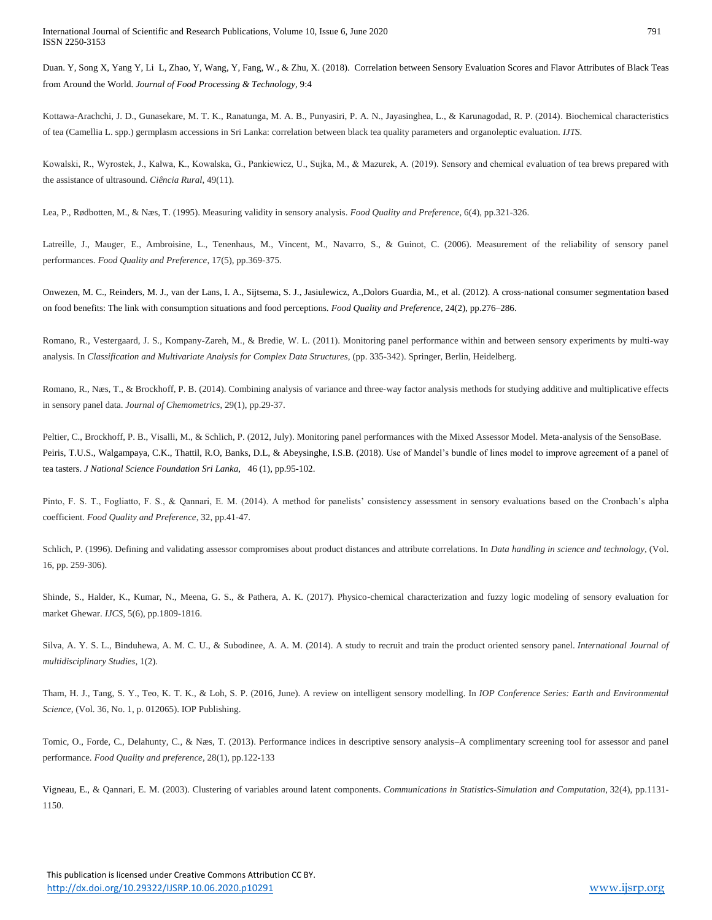Duan. Y, Song X, Yang Y, Li L, Zhao, Y, Wang, Y, Fang, W., & Zhu, X. (2018). Correlation between Sensory Evaluation Scores and Flavor Attributes of Black Teas from Around the World. *Journal of Food Processing & Technology,* 9:4

Kottawa-Arachchi, J. D., Gunasekare, M. T. K., Ranatunga, M. A. B., Punyasiri, P. A. N., Jayasinghea, L., & Karunagodad, R. P. (2014). Biochemical characteristics of tea (Camellia L. spp.) germplasm accessions in Sri Lanka: correlation between black tea quality parameters and organoleptic evaluation. *IJTS*.

Kowalski, R., Wyrostek, J., Kałwa, K., Kowalska, G., Pankiewicz, U., Sujka, M., & Mazurek, A. (2019). Sensory and chemical evaluation of tea brews prepared with the assistance of ultrasound. *Ciência Rural*, 49(11).

Lea, P., Rødbotten, M., & Næs, T. (1995). Measuring validity in sensory analysis. *Food Quality and Preference*, 6(4), pp.321-326.

Latreille, J., Mauger, E., Ambroisine, L., Tenenhaus, M., Vincent, M., Navarro, S., & Guinot, C. (2006). Measurement of the reliability of sensory panel performances. *Food Quality and Preference*, 17(5), pp.369-375.

Onwezen, M. C., Reinders, M. J., van der Lans, I. A., Sijtsema, S. J., Jasiulewicz, A.,Dolors Guardia, M., et al. (2012). A cross-national consumer segmentation based on food benefits: The link with consumption situations and food perceptions. *Food Quality and Preference*, 24(2), pp.276–286.

Romano, R., Vestergaard, J. S., Kompany-Zareh, M., & Bredie, W. L. (2011). Monitoring panel performance within and between sensory experiments by multi-way analysis. In *Classification and Multivariate Analysis for Complex Data Structures,* (pp. 335-342). Springer, Berlin, Heidelberg.

Romano, R., Næs, T., & Brockhoff, P. B. (2014). Combining analysis of variance and three‐way factor analysis methods for studying additive and multiplicative effects in sensory panel data. *Journal of Chemometrics*, 29(1), pp.29-37.

Peltier, C., Brockhoff, P. B., Visalli, M., & Schlich, P. (2012, July). Monitoring panel performances with the Mixed Assessor Model. Meta-analysis of the SensoBase. Peiris, T.U.S., Walgampaya, C.K., Thattil, R.O, Banks, D.L, & Abeysinghe, I.S.B. (2018). Use of Mandel's bundle of lines model to improve agreement of a panel of tea tasters. *J National Science Foundation Sri Lanka,* 46 (1), pp.95-102.

Pinto, F. S. T., Fogliatto, F. S., & Qannari, E. M. (2014). A method for panelists' consistency assessment in sensory evaluations based on the Cronbach's alpha coefficient. *Food Quality and Preference*, 32, pp.41-47.

Schlich, P. (1996). Defining and validating assessor compromises about product distances and attribute correlations. In *Data handling in science and technology,* (Vol. 16, pp. 259-306).

Shinde, S., Halder, K., Kumar, N., Meena, G. S., & Pathera, A. K. (2017). Physico-chemical characterization and fuzzy logic modeling of sensory evaluation for market Ghewar. *IJCS*, 5(6), pp.1809-1816.

Silva, A. Y. S. L., Binduhewa, A. M. C. U., & Subodinee, A. A. M. (2014). A study to recruit and train the product oriented sensory panel. *International Journal of multidisciplinary Studies*, 1(2).

Tham, H. J., Tang, S. Y., Teo, K. T. K., & Loh, S. P. (2016, June). A review on intelligent sensory modelling. In *IOP Conference Series: Earth and Environmental Science,* (Vol. 36, No. 1, p. 012065). IOP Publishing.

Tomic, O., Forde, C., Delahunty, C., & Næs, T. (2013). Performance indices in descriptive sensory analysis–A complimentary screening tool for assessor and panel performance. *Food Quality and preference*, 28(1), pp.122-133

Vigneau, E., & Qannari, E. M. (2003). Clustering of variables around latent components. *Communications in Statistics-Simulation and Computation*, 32(4), pp.1131- 1150.